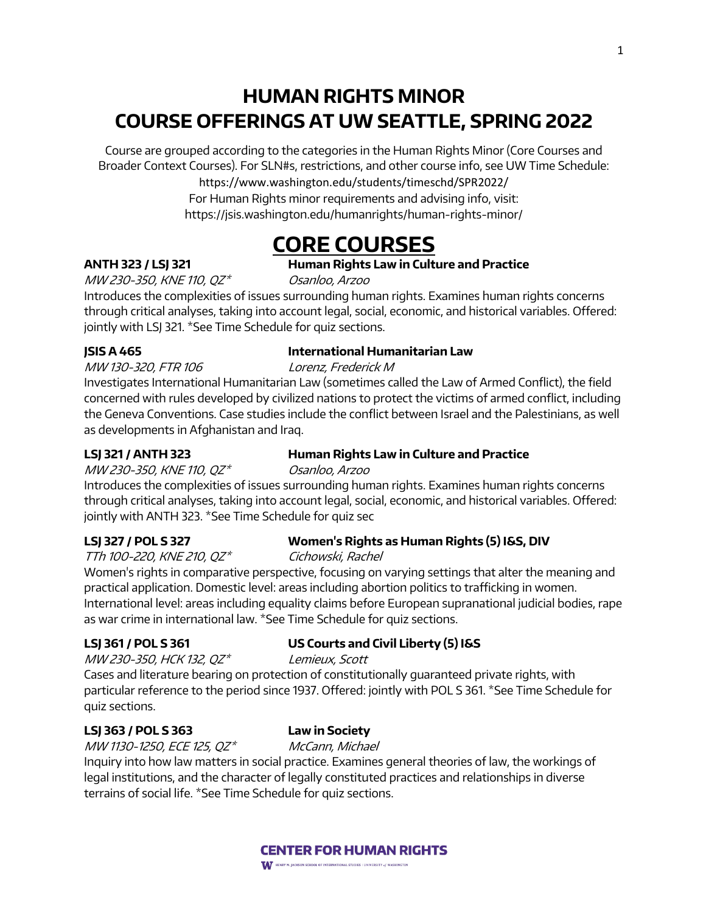# **HUMAN RIGHTS MINOR COURSE OFFERINGS AT UW SEATTLE, SPRING 2022**

Course are grouped according to the categories in the Human Rights Minor (Core Courses and Broader Context Courses). For SLN#s, restrictions, and other course info, see UW Time Schedule:

https://www.washington.edu/students/timeschd/SPR2022/

For Human Rights minor requirements and advising info, visit: https://jsis.washington.edu/humanrights/human-rights-minor/

# **CORE COURSES**

## **ANTH 323 / LSJ 321 Human Rights Law in Culture and Practice**

MW 230-350, KNE 110, QZ\* Osanloo, Arzoo

Introduces the complexities of issues surrounding human rights. Examines human rights concerns through critical analyses, taking into account legal, social, economic, and historical variables. Offered: jointly with LSJ 321. \*See Time Schedule for quiz sections.

## **JSIS A 465 International Humanitarian Law**

MW 130-320, FTR 106 Lorenz, Frederick M

Investigates International Humanitarian Law (sometimes called the Law of Armed Conflict), the field concerned with rules developed by civilized nations to protect the victims of armed conflict, including the Geneva Conventions. Case studies include the conflict between Israel and the Palestinians, as well as developments in Afghanistan and Iraq.

## **LSJ 321 / ANTH 323 Human Rights Law in Culture and Practice**

MW 230-350, KNE 110, QZ\* Osanloo, Arzoo

Introduces the complexities of issues surrounding human rights. Examines human rights concerns through critical analyses, taking into account legal, social, economic, and historical variables. Offered: jointly with ANTH 323. \*See Time Schedule for quiz sec

## **LSJ 327 / POL S 327 Women's Rights as Human Rights (5) I&S, DIV**

TTh 100-220, KNE 210, QZ\* Cichowski, Rachel

Women's rights in comparative perspective, focusing on varying settings that alter the meaning and practical application. Domestic level: areas including abortion politics to trafficking in women. International level: areas including equality claims before European supranational judicial bodies, rape as war crime in international law. \*See Time Schedule for quiz sections.

## **LSJ 361 / POL S 361 US Courts and Civil Liberty (5) I&S**

MW 230-350, HCK 132, QZ\* Lemieux, Scott

Cases and literature bearing on protection of constitutionally guaranteed private rights, with particular reference to the period since 1937. Offered: jointly with POL S 361. \*See Time Schedule for quiz sections.

## **LSJ 363 / POL S 363 Law in Society**

MW 1130-1250, ECE 125, QZ\* McCann, Michael

Inquiry into how law matters in social practice. Examines general theories of law, the workings of legal institutions, and the character of legally constituted practices and relationships in diverse terrains of social life. \*See Time Schedule for quiz sections.

# **CENTER FOR HUMAN RIGHTS**

**WE HENRY M. JACKSON SCHOOL OF INTERNATIONAL STUDIES I UNIVERSITY of WASHINGTON**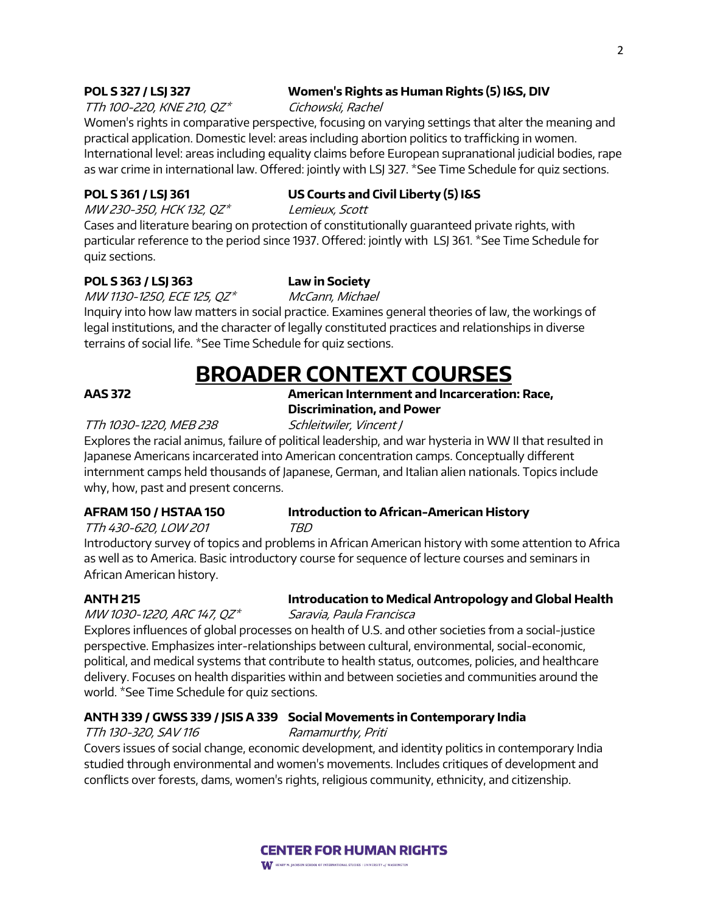### **POL S 327 / LSJ 327 Women's Rights as Human Rights (5) I&S, DIV**

TTh 100-220, KNE 210,  $QZ^*$  Cichowski, Rachel

Women's rights in comparative perspective, focusing on varying settings that alter the meaning and practical application. Domestic level: areas including abortion politics to trafficking in women. International level: areas including equality claims before European supranational judicial bodies, rape as war crime in international law. Offered: jointly with LSJ 327. \*See Time Schedule for quiz sections.

### **POL S 361 / LSJ 361 US Courts and Civil Liberty (5) I&S**

MW 230-350, HCK 132, QZ\* Lemieux, Scott

Cases and literature bearing on protection of constitutionally guaranteed private rights, with particular reference to the period since 1937. Offered: jointly with LSJ 361. \*See Time Schedule for quiz sections.

### **POL S 363 / LSJ 363 Law in Society**

MW 1130-1250, ECE 125, QZ\* McCann, Michael

Inquiry into how law matters in social practice. Examines general theories of law, the workings of legal institutions, and the character of legally constituted practices and relationships in diverse terrains of social life. \*See Time Schedule for quiz sections.

# **BROADER CONTEXT COURSES**

### **AAS 372 American Internment and Incarceration: Race, Discrimination, and Power**

### TTh 1030-1220, MEB 238 Schleitwiler, Vincent J

Explores the racial animus, failure of political leadership, and war hysteria in WW II that resulted in Japanese Americans incarcerated into American concentration camps. Conceptually different internment camps held thousands of Japanese, German, and Italian alien nationals. Topics include why, how, past and present concerns.

### **AFRAM 150 / HSTAA 150 Introduction to African-American History** TTh 430-620, LOW 201 TBD

Introductory survey of topics and problems in African American history with some attention to Africa as well as to America. Basic introductory course for sequence of lecture courses and seminars in African American history.

### **ANTH 215 Introducation to Medical Antropology and Global Health**

MW 1030-1220, ARC 147,  $QZ^*$  Saravia, Paula Francisca

Explores influences of global processes on health of U.S. and other societies from a social-justice perspective. Emphasizes inter-relationships between cultural, environmental, social-economic, political, and medical systems that contribute to health status, outcomes, policies, and healthcare delivery. Focuses on health disparities within and between societies and communities around the world. \*See Time Schedule for quiz sections.

### **ANTH 339 / GWSS 339 / JSIS A 339 Social Movements in Contemporary India**

TTh 130-320, SAV 116 Ramamurthy, Priti

Covers issues of social change, economic development, and identity politics in contemporary India studied through environmental and women's movements. Includes critiques of development and conflicts over forests, dams, women's rights, religious community, ethnicity, and citizenship.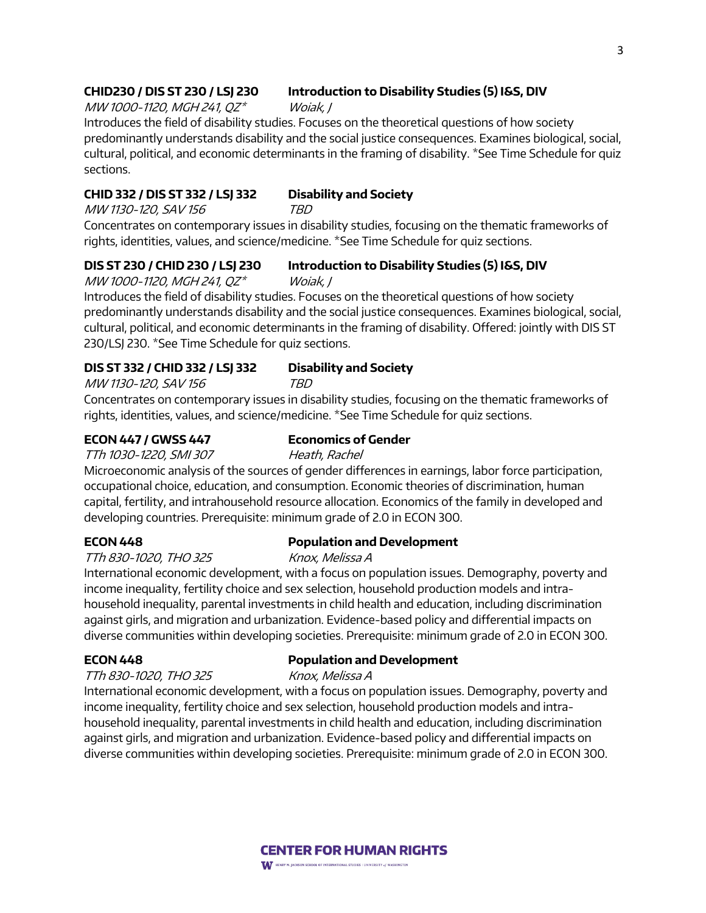### **CHID230 / DIS ST 230 / LSJ 230 Introduction to Disability Studies (5) I&S, DIV**

MW 1000-1120, MGH 241, QZ\* Woiak, J

Introduces the field of disability studies. Focuses on the theoretical questions of how society predominantly understands disability and the social justice consequences. Examines biological, social, cultural, political, and economic determinants in the framing of disability. \*See Time Schedule for quiz sections.

### **CHID 332 / DIS ST 332 / LSJ 332 Disability and Society**

MW 1130-120, SAV 156 TBD Concentrates on contemporary issues in disability studies, focusing on the thematic frameworks of

rights, identities, values, and science/medicine. \*See Time Schedule for quiz sections.

**DIS ST 230 / CHID 230 / LSJ 230 Introduction to Disability Studies (5) I&S, DIV**

MW 1000-1120, MGH 241, QZ\* Woiak, J

Introduces the field of disability studies. Focuses on the theoretical questions of how society predominantly understands disability and the social justice consequences. Examines biological, social, cultural, political, and economic determinants in the framing of disability. Offered: jointly with DIS ST 230/LSJ 230. \*See Time Schedule for quiz sections.

### **DIS ST 332 / CHID 332 / LSJ 332 Disability and Society**

MW 1130-120, SAV 156 TBD

Concentrates on contemporary issues in disability studies, focusing on the thematic frameworks of rights, identities, values, and science/medicine. \*See Time Schedule for quiz sections.

### **ECON 447 / GWSS 447 Economics of Gender**

TTh 1030-1220, SMI 307 Heath, Rachel Microeconomic analysis of the sources of gender differences in earnings, labor force participation, occupational choice, education, and consumption. Economic theories of discrimination, human capital, fertility, and intrahousehold resource allocation. Economics of the family in developed and developing countries. Prerequisite: minimum grade of 2.0 in ECON 300.

TTh 830-1020, THO 325 Knox, Melissa A

### **ECON 448 Population and Development**

International economic development, with a focus on population issues. Demography, poverty and income inequality, fertility choice and sex selection, household production models and intrahousehold inequality, parental investments in child health and education, including discrimination against girls, and migration and urbanization. Evidence-based policy and differential impacts on diverse communities within developing societies. Prerequisite: minimum grade of 2.0 in ECON 300.

## **ECON 448 Population and Development**

TTh 830-1020, THO 325 Knox, Melissa A

International economic development, with a focus on population issues. Demography, poverty and income inequality, fertility choice and sex selection, household production models and intrahousehold inequality, parental investments in child health and education, including discrimination against girls, and migration and urbanization. Evidence-based policy and differential impacts on diverse communities within developing societies. Prerequisite: minimum grade of 2.0 in ECON 300.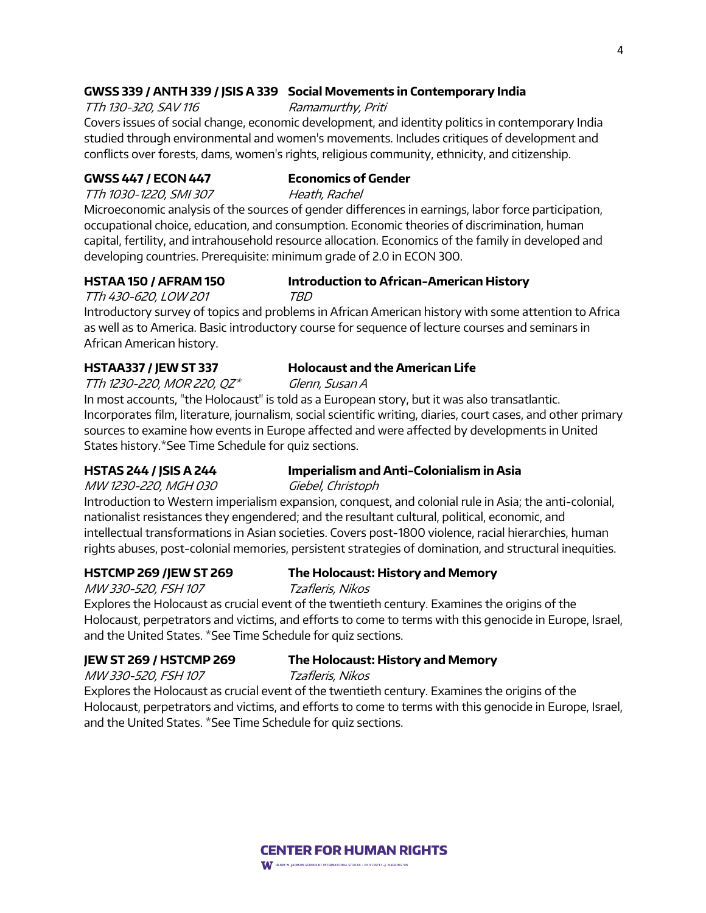### **GWSS 339 / ANTH 339 / JSIS A 339 Social Movements in Contemporary India**

TTh 130-320, SAV 116 Ramamurthy, Priti Covers issues of social change, economic development, and identity politics in contemporary India studied through environmental and women's movements. Includes critiques of development and conflicts over forests, dams, women's rights, religious community, ethnicity, and citizenship.

### **GWSS 447 / ECON 447 Economics of Gender**

TTh 1030-1220, SMI 307 Heath, Rachel

Microeconomic analysis of the sources of gender differences in earnings, labor force participation, occupational choice, education, and consumption. Economic theories of discrimination, human capital, fertility, and intrahousehold resource allocation. Economics of the family in developed and developing countries. Prerequisite: minimum grade of 2.0 in ECON 300.

## **HSTAA 150 / AFRAM 150 Introduction to African-American History**

TTh 430-620, LOW 201 TBD

Introductory survey of topics and problems in African American history with some attention to Africa as well as to America. Basic introductory course for sequence of lecture courses and seminars in African American history.

### **HSTAA337 / JEW ST 337 Holocaust and the American Life**

TTh 1230-220, MOR 220,  $QZ^*$  Glenn, Susan A

In most accounts, "the Holocaust" is told as a European story, but it was also transatlantic. Incorporates film, literature, journalism, social scientific writing, diaries, court cases, and other primary sources to examine how events in Europe affected and were affected by developments in United States history.\*See Time Schedule for quiz sections.

## **HSTAS 244 / JSIS A 244 Imperialism and Anti-Colonialism in Asia**

MW 1230-220, MGH 030 Giebel, Christoph

Introduction to Western imperialism expansion, conquest, and colonial rule in Asia; the anti-colonial, nationalist resistances they engendered; and the resultant cultural, political, economic, and intellectual transformations in Asian societies. Covers post-1800 violence, racial hierarchies, human rights abuses, post-colonial memories, persistent strategies of domination, and structural inequities.

### **HSTCMP 269 /JEW ST 269 The Holocaust: History and Memory**

MW 330-520, FSH 107 Tzafleris, Nikos

Explores the Holocaust as crucial event of the twentieth century. Examines the origins of the Holocaust, perpetrators and victims, and efforts to come to terms with this genocide in Europe, Israel, and the United States. \*See Time Schedule for quiz sections.

### **JEW ST 269 / HSTCMP 269 The Holocaust: History and Memory**

MW 330-520, FSH 107 Tzafleris, Nikos

Explores the Holocaust as crucial event of the twentieth century. Examines the origins of the Holocaust, perpetrators and victims, and efforts to come to terms with this genocide in Europe, Israel, and the United States. \*See Time Schedule for quiz sections.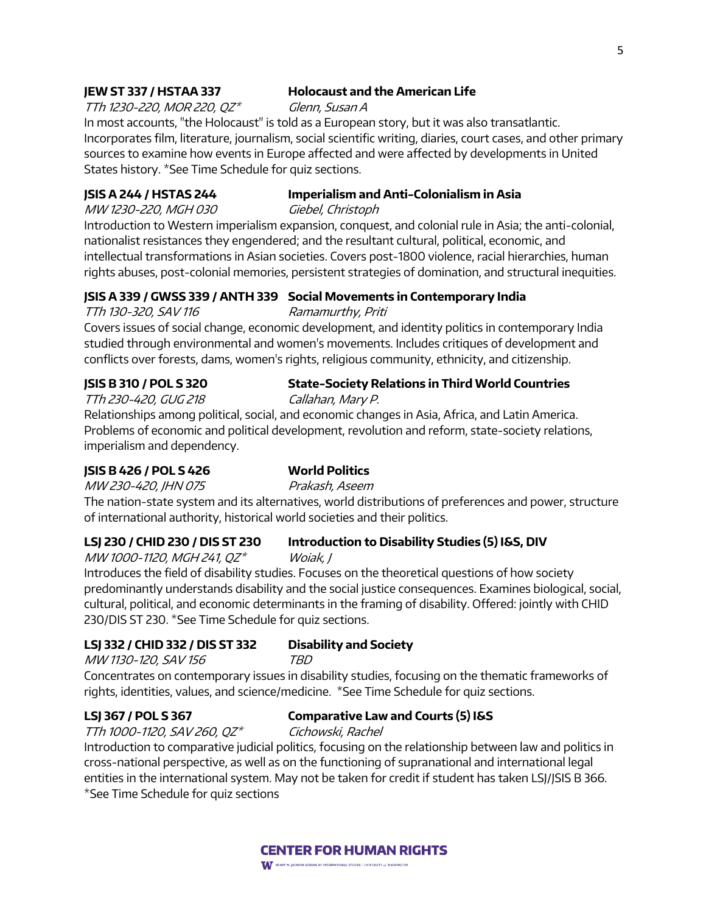### **JEW ST 337 / HSTAA 337 Holocaust and the American Life**

TTh 1230-220, MOR 220,  $QZ^*$  Glenn, Susan A

In most accounts, "the Holocaust" is told as a European story, but it was also transatlantic. Incorporates film, literature, journalism, social scientific writing, diaries, court cases, and other primary sources to examine how events in Europe affected and were affected by developments in United States history. \*See Time Schedule for quiz sections.

### **JSIS A 244 / HSTAS 244 Imperialism and Anti-Colonialism in Asia**

MW 1230-220, MGH 030 Giebel, Christoph

Introduction to Western imperialism expansion, conquest, and colonial rule in Asia; the anti-colonial, nationalist resistances they engendered; and the resultant cultural, political, economic, and intellectual transformations in Asian societies. Covers post-1800 violence, racial hierarchies, human rights abuses, post-colonial memories, persistent strategies of domination, and structural inequities.

### **JSIS A 339 / GWSS 339 / ANTH 339 Social Movements in Contemporary India**

TTh 130-320, SAV 116 Ramamurthy, Priti

Covers issues of social change, economic development, and identity politics in contemporary India studied through environmental and women's movements. Includes critiques of development and conflicts over forests, dams, women's rights, religious community, ethnicity, and citizenship.

## **JSIS B 310 / POL S 320 State-Society Relations in Third World Countries**

TTh 230-420, GUG 218 Callahan, Mary P.

Relationships among political, social, and economic changes in Asia, Africa, and Latin America. Problems of economic and political development, revolution and reform, state-society relations, imperialism and dependency.

### **JSIS B 426 / POL S 426 World Politics**

MW 230-420, JHN 075 Prakash, Aseem

The nation-state system and its alternatives, world distributions of preferences and power, structure of international authority, historical world societies and their politics.

### **LSJ 230 / CHID 230 / DIS ST 230 Introduction to Disability Studies (5) I&S, DIV**

MW 1000-1120, MGH 241, QZ\* Woiak, J Introduces the field of disability studies. Focuses on the theoretical questions of how society predominantly understands disability and the social justice consequences. Examines biological, social, cultural, political, and economic determinants in the framing of disability. Offered: jointly with CHID 230/DIS ST 230. \*See Time Schedule for quiz sections.

### **LSJ 332 / CHID 332 / DIS ST 332 Disability and Society**

MW 1130-120, SAV 156 TBD

Concentrates on contemporary issues in disability studies, focusing on the thematic frameworks of rights, identities, values, and science/medicine. \*See Time Schedule for quiz sections.

### **LSJ 367 / POL S 367 Comparative Law and Courts (5) I&S**

TTh 1000-1120, SAV 260, QZ\* Cichowski, Rachel

Introduction to comparative judicial politics, focusing on the relationship between law and politics in cross-national perspective, as well as on the functioning of supranational and international legal entities in the international system. May not be taken for credit if student has taken LSJ/JSIS B 366. \*See Time Schedule for quiz sections